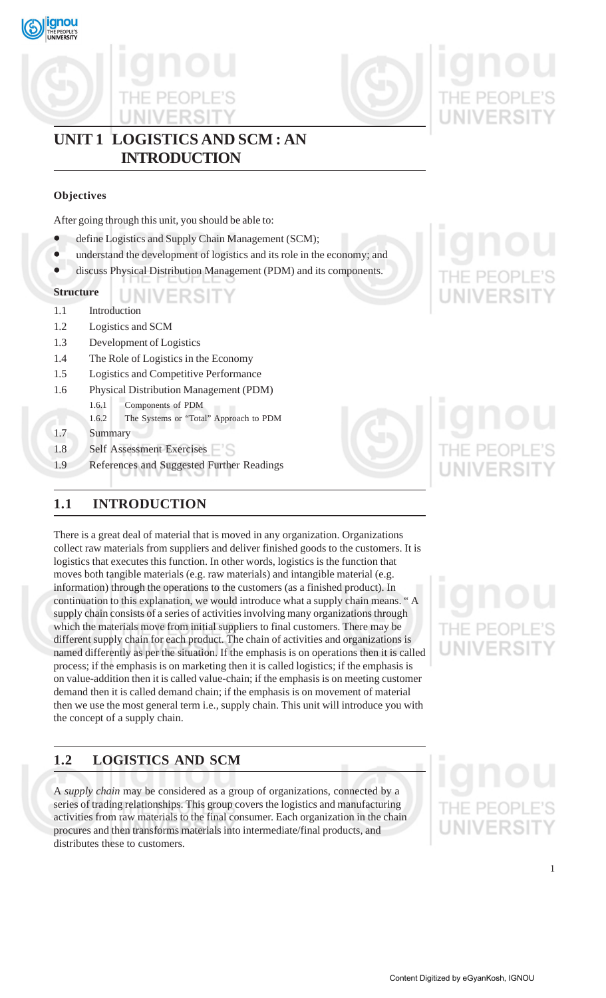

## **UNIT 1 LOGISTICS AND SCM : AN INTRODUCTION**

## **Objectives**

After going through this unit, you should be able to:

JNIVERSIT

- define Logistics and Supply Chain Management (SCM);
- understand the development of logistics and its role in the economy; and
- discuss Physical Distribution Management (PDM) and its components.

## **Structure**

### 1.1 Introduction

- 1.2 Logistics and SCM
- 1.3 Development of Logistics
- 1.4 The Role of Logistics in the Economy
- 1.5 Logistics and Competitive Performance
- 1.6 Physical Distribution Management (PDM)
	- 1.6.1 Components of PDM
	- 1.6.2 The Systems or "Total" Approach to PDM
- 1.7 Summary
- 1.8 Self Assessment Exercises
- 1.9 References and Suggested Further Readings

## **1.1 INTRODUCTION**

There is a great deal of material that is moved in any organization. Organizations collect raw materials from suppliers and deliver finished goods to the customers. It is logistics that executes this function. In other words, logistics is the function that moves both tangible materials (e.g. raw materials) and intangible material (e.g. information) through the operations to the customers (as a finished product). In continuation to this explanation, we would introduce what a supply chain means. " A supply chain consists of a series of activities involving many organizations through which the materials move from initial suppliers to final customers. There may be different supply chain for each product. The chain of activities and organizations is named differently as per the situation. If the emphasis is on operations then it is called process; if the emphasis is on marketing then it is called logistics; if the emphasis is on value-addition then it is called value-chain; if the emphasis is on meeting customer demand then it is called demand chain; if the emphasis is on movement of material then we use the most general term i.e., supply chain. This unit will introduce you with the concept of a supply chain.

## **1.2 LOGISTICS AND SCM**

A *supply chain* may be considered as a group of organizations, connected by a series of trading relationships. This group covers the logistics and manufacturing activities from raw materials to the final consumer. Each organization in the chain procures and then transforms materials into intermediate/final products, and distributes these to customers.

## JNIVERSIT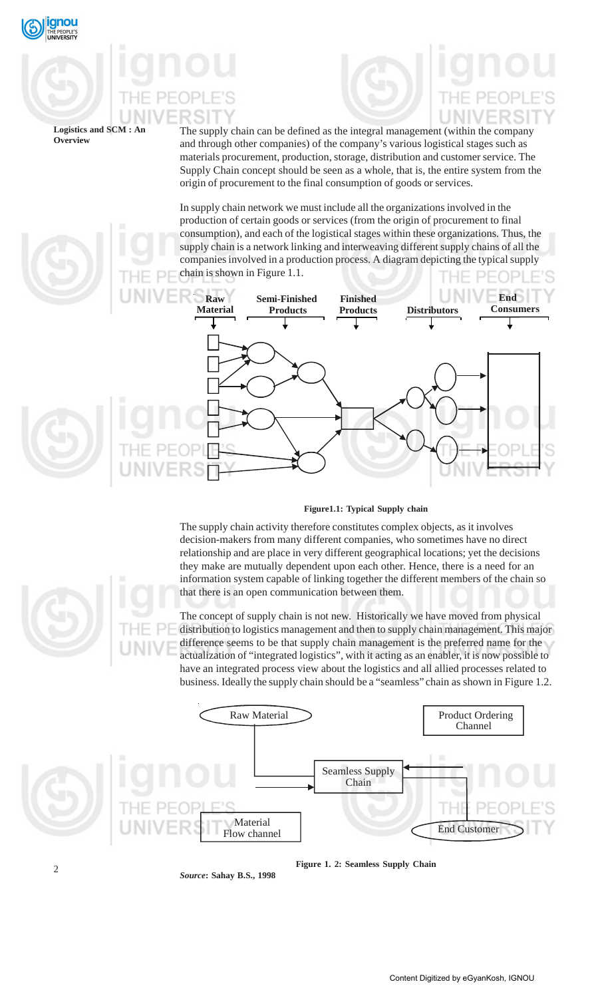

The supply chain can be defined as the integral management (within the company and through other companies) of the company's various logistical stages such as materials procurement, production, storage, distribution and customer service. The Supply Chain concept should be seen as a whole, that is, the entire system from the origin of procurement to the final consumption of goods or services.

In supply chain network we must include all the organizations involved in the production of certain goods or services (from the origin of procurement to final consumption), and each of the logistical stages within these organizations. Thus, the supply chain is a network linking and interweaving different supply chains of all the companies involved in a production process. A diagram depicting the typical supply chain is shown in Figure 1.1.



### **Figure1.1: Typical Supply chain**

The supply chain activity therefore constitutes complex objects, as it involves decision-makers from many different companies, who sometimes have no direct relationship and are place in very different geographical locations; yet the decisions they make are mutually dependent upon each other. Hence, there is a need for an information system capable of linking together the different members of the chain so that there is an open communication between them.

The concept of supply chain is not new. Historically we have moved from physical distribution to logistics management and then to supply chain management. This major difference seems to be that supply chain management is the preferred name for the actualization of "integrated logistics", with it acting as an enabler, it is now possible to have an integrated process view about the logistics and all allied processes related to business. Ideally the supply chain should be a "seamless" chain as shown in Figure 1.2.



*Source***: Sahay B.S., 1998**

2

**Figure 1. 2: Seamless Supply Chain**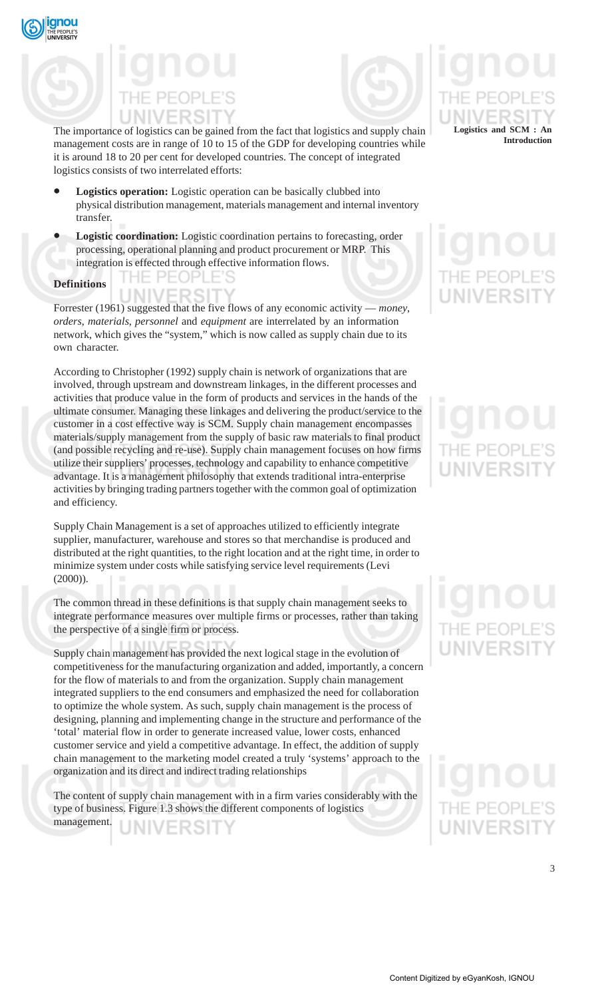

THE PEOPLE



The importance of logistics can be gained from the fact that logistics and supply chain management costs are in range of 10 to 15 of the GDP for developing countries while it is around 18 to 20 per cent for developed countries. The concept of integrated logistics consists of two interrelated efforts:

- **Logistics operation:** Logistic operation can be basically clubbed into physical distribution management, materials management and internal inventory transfer.
- **Logistic coordination:** Logistic coordination pertains to forecasting, order processing, operational planning and product procurement or MRP. This integration is effected through effective information flows.

**Definitions**

Forrester (1961) suggested that the five flows of any economic activity — *money*, *orders*, *materials*, *personnel* and *equipment* are interrelated by an information network, which gives the "system," which is now called as supply chain due to its own character.

According to Christopher (1992) supply chain is network of organizations that are involved, through upstream and downstream linkages, in the different processes and activities that produce value in the form of products and services in the hands of the ultimate consumer. Managing these linkages and delivering the product/service to the customer in a cost effective way is SCM. Supply chain management encompasses materials/supply management from the supply of basic raw materials to final product (and possible recycling and re-use). Supply chain management focuses on how firms utilize their suppliers' processes, technology and capability to enhance competitive advantage. It is a management philosophy that extends traditional intra-enterprise activities by bringing trading partners together with the common goal of optimization and efficiency.

Supply Chain Management is a set of approaches utilized to efficiently integrate supplier, manufacturer, warehouse and stores so that merchandise is produced and distributed at the right quantities, to the right location and at the right time, in order to minimize system under costs while satisfying service level requirements (Levi  $(2000)$ ).

The common thread in these definitions is that supply chain management seeks to integrate performance measures over multiple firms or processes, rather than taking the perspective of a single firm or process.

Supply chain management has provided the next logical stage in the evolution of competitiveness for the manufacturing organization and added, importantly, a concern for the flow of materials to and from the organization. Supply chain management integrated suppliers to the end consumers and emphasized the need for collaboration to optimize the whole system. As such, supply chain management is the process of designing, planning and implementing change in the structure and performance of the 'total' material flow in order to generate increased value, lower costs, enhanced customer service and yield a competitive advantage. In effect, the addition of supply chain management to the marketing model created a truly 'systems' approach to the organization and its direct and indirect trading relationships

The content of supply chain management with in a firm varies considerably with the type of business. Figure 1.3 shows the different components of logistics management.

## **Logistics and SCM : An Introduction**

# UNIVERSI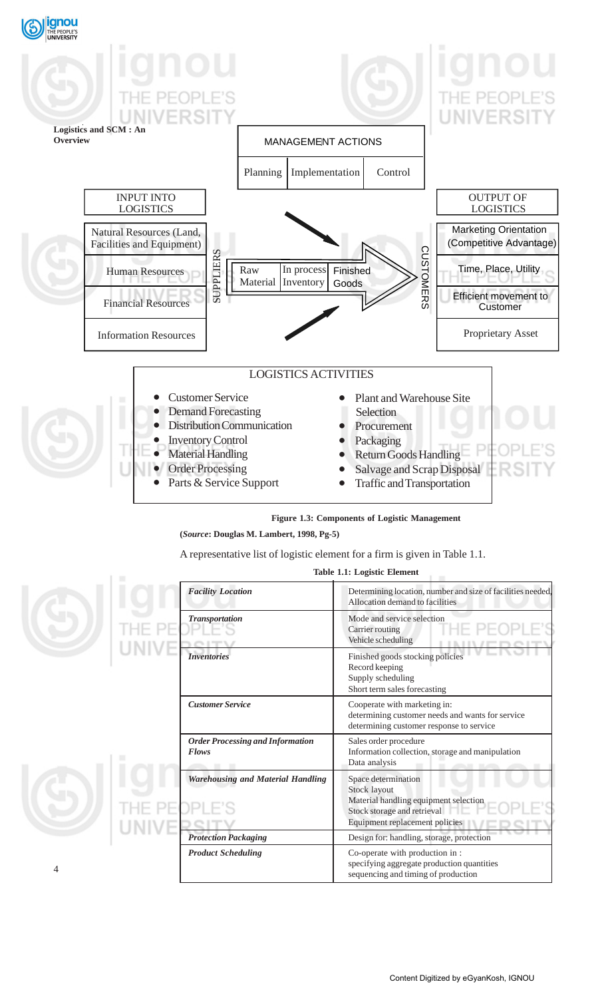

A representative list of logistic element for a firm is given in Table 1.1.

**Table 1.1: Logistic Element**

|  | <b>Facility Location</b>                                | Determining location, number and size of facilities needed,<br>Allocation demand to facilities                                                |
|--|---------------------------------------------------------|-----------------------------------------------------------------------------------------------------------------------------------------------|
|  | <b>Transportation</b>                                   | Mode and service selection<br>Carrier routing<br>Vehicle scheduling                                                                           |
|  | <i><b>Inventories</b></i>                               | Finished goods stocking policies<br>Record keeping<br>Supply scheduling<br>Short term sales forecasting                                       |
|  | <b>Customer Service</b>                                 | Cooperate with marketing in:<br>determining customer needs and wants for service<br>determining customer response to service                  |
|  | <b>Order Processing and Information</b><br><b>Flows</b> | Sales order procedure<br>Information collection, storage and manipulation<br>Data analysis                                                    |
|  | <b>Warehousing and Material Handling</b>                | Space determination<br>Stock layout<br>Material handling equipment selection<br>Stock storage and retrieval<br>Equipment replacement policies |
|  | <b>Protection Packaging</b>                             | Design for: handling, storage, protection                                                                                                     |
|  | <b>Product Scheduling</b>                               | Co-operate with production in:<br>specifying aggregate production quantities<br>sequencing and timing of production                           |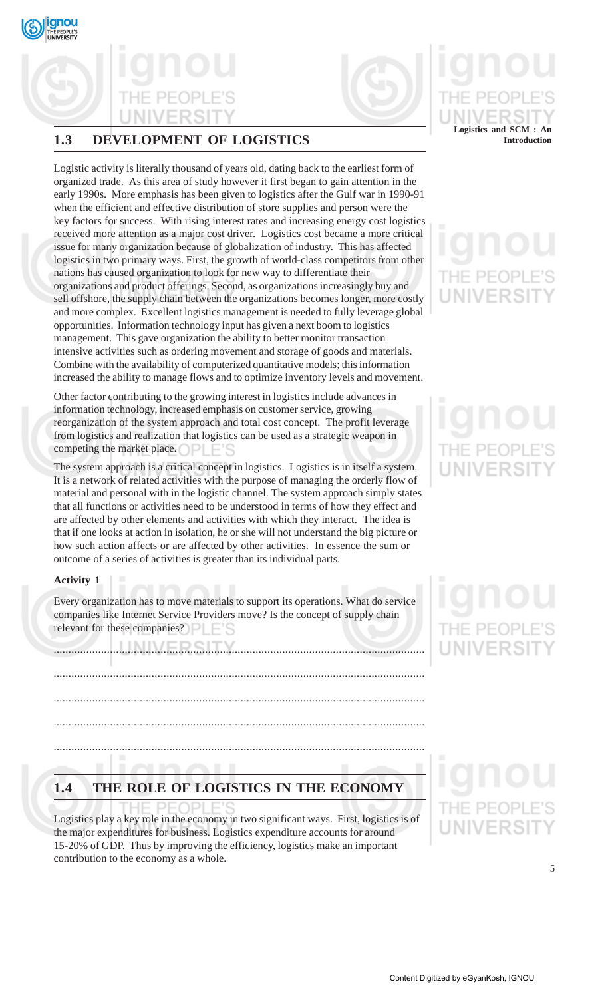



## **1.3 DEVELOPMENT OF LOGISTICS**

Logistic activity is literally thousand of years old, dating back to the earliest form of organized trade. As this area of study however it first began to gain attention in the early 1990s. More emphasis has been given to logistics after the Gulf war in 1990-91 when the efficient and effective distribution of store supplies and person were the key factors for success. With rising interest rates and increasing energy cost logistics received more attention as a major cost driver. Logistics cost became a more critical issue for many organization because of globalization of industry. This has affected logistics in two primary ways. First, the growth of world-class competitors from other nations has caused organization to look for new way to differentiate their organizations and product offerings. Second, as organizations increasingly buy and sell offshore, the supply chain between the organizations becomes longer, more costly and more complex. Excellent logistics management is needed to fully leverage global opportunities. Information technology input has given a next boom to logistics management. This gave organization the ability to better monitor transaction intensive activities such as ordering movement and storage of goods and materials. Combine with the availability of computerized quantitative models; this information increased the ability to manage flows and to optimize inventory levels and movement.

Other factor contributing to the growing interest in logistics include advances in information technology, increased emphasis on customer service, growing reorganization of the system approach and total cost concept. The profit leverage from logistics and realization that logistics can be used as a strategic weapon in competing the market place.

The system approach is a critical concept in logistics. Logistics is in itself a system. It is a network of related activities with the purpose of managing the orderly flow of material and personal with in the logistic channel. The system approach simply states that all functions or activities need to be understood in terms of how they effect and are affected by other elements and activities with which they interact. The idea is that if one looks at action in isolation, he or she will not understand the big picture or how such action affects or are affected by other activities. In essence the sum or outcome of a series of activities is greater than its individual parts.

### **Activity 1**

Every organization has to move materials to support its operations. What do service companies like Internet Service Providers move? Is the concept of supply chain relevant for these companies?

.............................................................................................................................

.............................................................................................................................

.............................................................................................................................

.............................................................................................................................

.............................................................................................................................

**1.4 THE ROLE OF LOGISTICS IN THE ECONOMY**

Logistics play a key role in the economy in two significant ways. First, logistics is of the major expenditures for business. Logistics expenditure accounts for around 15-20% of GDP. Thus by improving the efficiency, logistics make an important contribution to the economy as a whole.

# **Logistics and SCM : An**

## JNIVERSI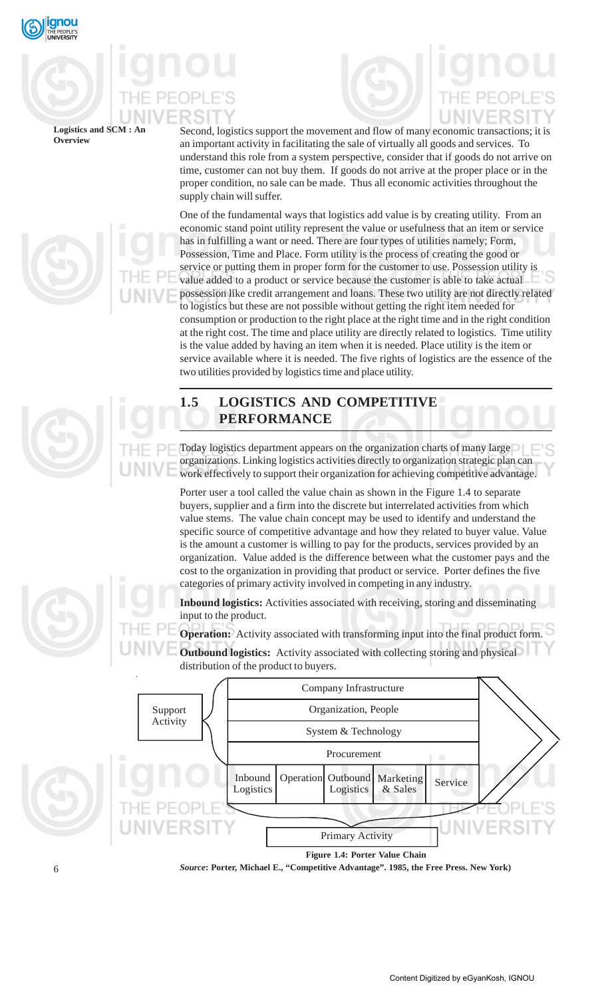

Second, logistics support the movement and flow of many economic transactions; it is an important activity in facilitating the sale of virtually all goods and services. To understand this role from a system perspective, consider that if goods do not arrive on time, customer can not buy them. If goods do not arrive at the proper place or in the proper condition, no sale can be made. Thus all economic activities throughout the supply chain will suffer.

One of the fundamental ways that logistics add value is by creating utility. From an economic stand point utility represent the value or usefulness that an item or service has in fulfilling a want or need. There are four types of utilities namely; Form, Possession, Time and Place. Form utility is the process of creating the good or service or putting them in proper form for the customer to use. Possession utility is value added to a product or service because the customer is able to take actual possession like credit arrangement and loans. These two utility are not directly related to logistics but these are not possible without getting the right item needed for consumption or production to the right place at the right time and in the right condition at the right cost. The time and place utility are directly related to logistics. Time utility is the value added by having an item when it is needed. Place utility is the item or service available where it is needed. The five rights of logistics are the essence of the two utilities provided by logistics time and place utility.



## **1.5 LOGISTICS AND COMPETITIVE PERFORMANCE**

Today logistics department appears on the organization charts of many large organizations. Linking logistics activities directly to organization strategic plan can work effectively to support their organization for achieving competitive advantage.

Porter user a tool called the value chain as shown in the Figure 1.4 to separate buyers, supplier and a firm into the discrete but interrelated activities from which value stems. The value chain concept may be used to identify and understand the specific source of competitive advantage and how they related to buyer value. Value is the amount a customer is willing to pay for the products, services provided by an organization. Value added is the difference between what the customer pays and the cost to the organization in providing that product or service. Porter defines the five categories of primary activity involved in competing in any industry.

**Inbound logistics:** Activities associated with receiving, storing and disseminating input to the product.

**Operation:** Activity associated with transforming input into the final product form.

**Outbound logistics:** Activity associated with collecting storing and physical distribution of the product to buyers.



6

*Source***: Porter, Michael E., "Competitive Advantage". 1985, the Free Press. New York)**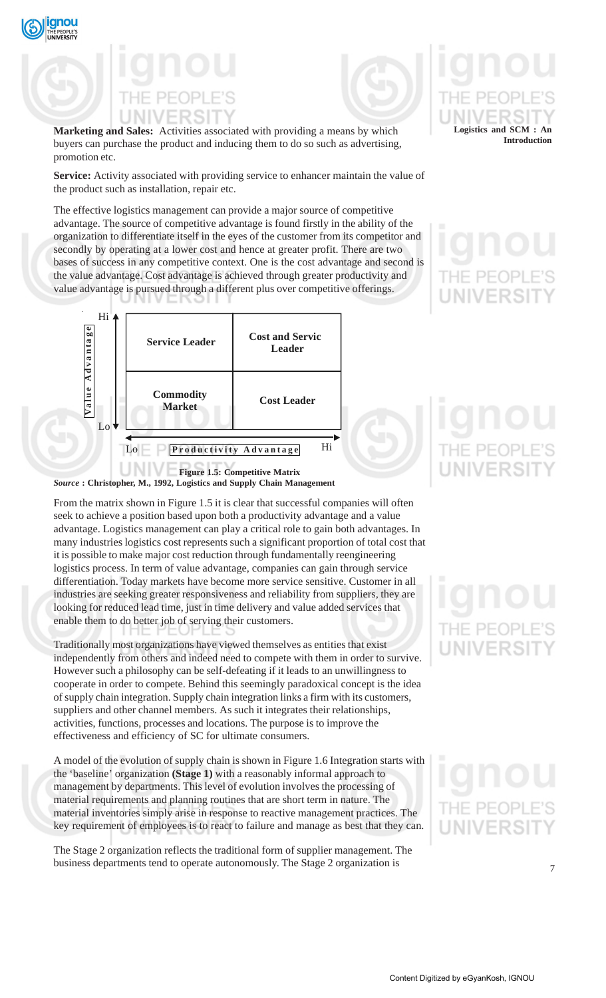



**Marketing and Sales:** Activities associated with providing a means by which buyers can purchase the product and inducing them to do so such as advertising, promotion etc.

**Service:** Activity associated with providing service to enhancer maintain the value of the product such as installation, repair etc.

The effective logistics management can provide a major source of competitive advantage. The source of competitive advantage is found firstly in the ability of the organization to differentiate itself in the eyes of the customer from its competitor and secondly by operating at a lower cost and hence at greater profit. There are two bases of success in any competitive context. One is the cost advantage and second is the value advantage. Cost advantage is achieved through greater productivity and value advantage is pursued through a different plus over competitive offerings.



*Source* **: Christopher, M., 1992, Logistics and Supply Chain Management**

From the matrix shown in Figure 1.5 it is clear that successful companies will often seek to achieve a position based upon both a productivity advantage and a value advantage. Logistics management can play a critical role to gain both advantages. In many industries logistics cost represents such a significant proportion of total cost that it is possible to make major cost reduction through fundamentally reengineering logistics process. In term of value advantage, companies can gain through service differentiation. Today markets have become more service sensitive. Customer in all industries are seeking greater responsiveness and reliability from suppliers, they are looking for reduced lead time, just in time delivery and value added services that enable them to do better job of serving their customers.

Traditionally most organizations have viewed themselves as entities that exist independently from others and indeed need to compete with them in order to survive. However such a philosophy can be self-defeating if it leads to an unwillingness to cooperate in order to compete. Behind this seemingly paradoxical concept is the idea of supply chain integration. Supply chain integration links a firm with its customers, suppliers and other channel members. As such it integrates their relationships, activities, functions, processes and locations. The purpose is to improve the effectiveness and efficiency of SC for ultimate consumers.

A model of the evolution of supply chain is shown in Figure 1.6 Integration starts with the 'baseline' organization **(Stage 1)** with a reasonably informal approach to management by departments. This level of evolution involves the processing of material requirements and planning routines that are short term in nature. The material inventories simply arise in response to reactive management practices. The key requirement of employees is to react to failure and manage as best that they can.

The Stage 2 organization reflects the traditional form of supplier management. The business departments tend to operate autonomously. The Stage 2 organization is

## **Logistics and SCM : An Introduction**

# UNIVERSI

7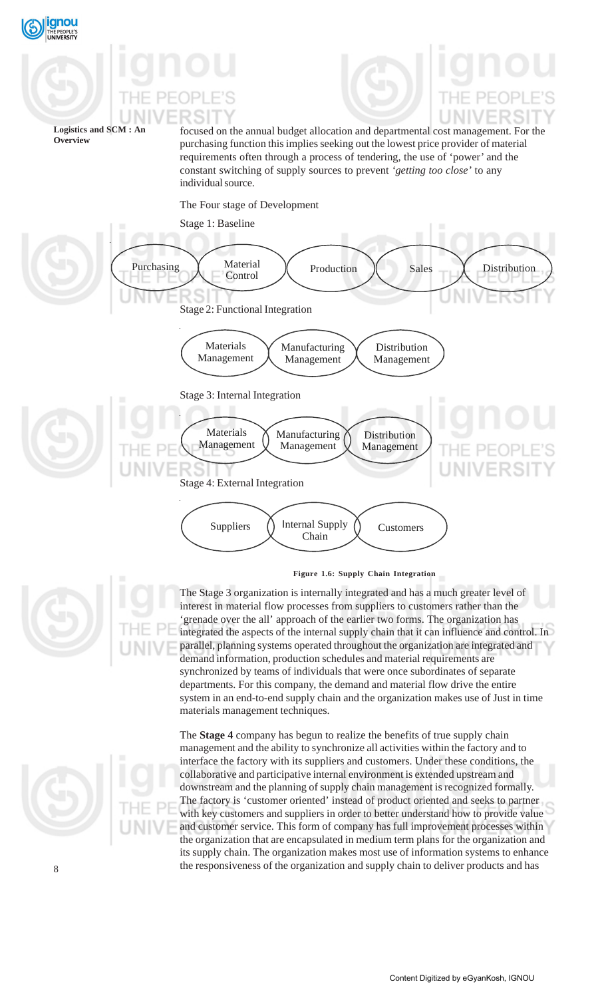

focused on the annual budget allocation and departmental cost management. For the purchasing function this implies seeking out the lowest price provider of material requirements often through a process of tendering, the use of 'power' and the constant switching of supply sources to prevent *'getting too close'* to any individual source.

The Four stage of Development



**Figure 1.6: Supply Chain Integration**

The Stage 3 organization is internally integrated and has a much greater level of interest in material flow processes from suppliers to customers rather than the 'grenade over the all' approach of the earlier two forms. The organization has integrated the aspects of the internal supply chain that it can influence and control. In parallel, planning systems operated throughout the organization are integrated and demand information, production schedules and material requirements are synchronized by teams of individuals that were once subordinates of separate departments. For this company, the demand and material flow drive the entire system in an end-to-end supply chain and the organization makes use of Just in time materials management techniques.

The **Stage 4** company has begun to realize the benefits of true supply chain management and the ability to synchronize all activities within the factory and to interface the factory with its suppliers and customers. Under these conditions, the collaborative and participative internal environment is extended upstream and downstream and the planning of supply chain management is recognized formally. The factory is 'customer oriented' instead of product oriented and seeks to partner with key customers and suppliers in order to better understand how to provide value and customer service. This form of company has full improvement processes within the organization that are encapsulated in medium term plans for the organization and its supply chain. The organization makes most use of information systems to enhance the responsiveness of the organization and supply chain to deliver products and has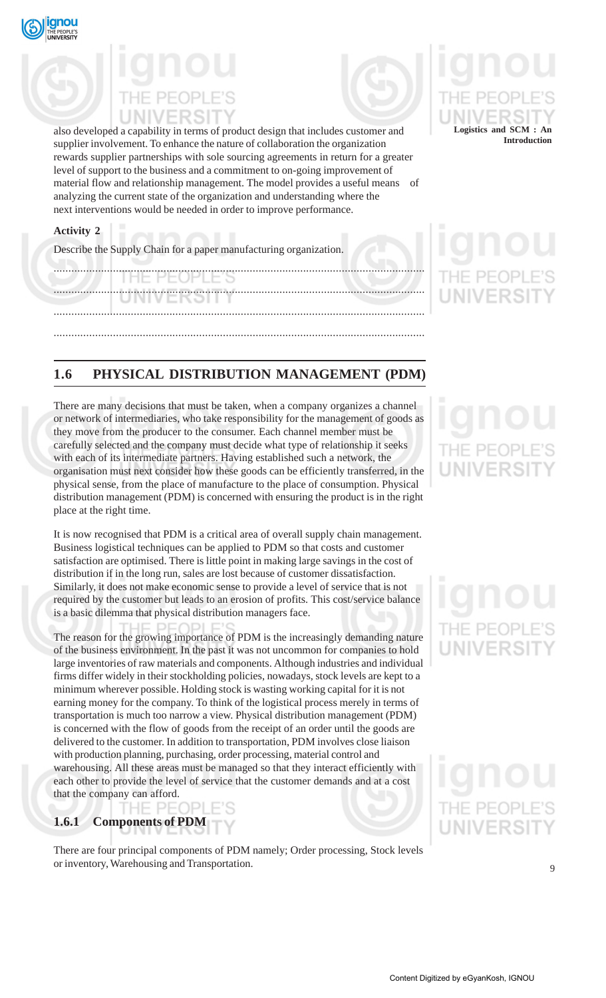



also developed a capability in terms of product design that includes customer and supplier involvement. To enhance the nature of collaboration the organization rewards supplier partnerships with sole sourcing agreements in return for a greater level of support to the business and a commitment to on-going improvement of material flow and relationship management. The model provides a useful means of analyzing the current state of the organization and understanding where the next interventions would be needed in order to improve performance.

## **Activity 2**

Describe the Supply Chain for a paper manufacturing organization.

............................................................................................................................. ............................................................................................................................. ............................................................................................................................. .............................................................................................................................

## **1.6 PHYSICAL DISTRIBUTION MANAGEMENT (PDM)**

There are many decisions that must be taken, when a company organizes a channel or network of intermediaries, who take responsibility for the management of goods as they move from the producer to the consumer. Each channel member must be carefully selected and the company must decide what type of relationship it seeks with each of its intermediate partners. Having established such a network, the organisation must next consider how these goods can be efficiently transferred, in the physical sense, from the place of manufacture to the place of consumption. Physical distribution management (PDM) is concerned with ensuring the product is in the right place at the right time.

It is now recognised that PDM is a critical area of overall supply chain management. Business logistical techniques can be applied to PDM so that costs and customer satisfaction are optimised. There is little point in making large savings in the cost of distribution if in the long run, sales are lost because of customer dissatisfaction. Similarly, it does not make economic sense to provide a level of service that is not required by the customer but leads to an erosion of profits. This cost/service balance is a basic dilemma that physical distribution managers face.

The reason for the growing importance of PDM is the increasingly demanding nature of the business environment. In the past it was not uncommon for companies to hold large inventories of raw materials and components. Although industries and individual firms differ widely in their stockholding policies, nowadays, stock levels are kept to a minimum wherever possible. Holding stock is wasting working capital for it is not earning money for the company. To think of the logistical process merely in terms of transportation is much too narrow a view. Physical distribution management (PDM) is concerned with the flow of goods from the receipt of an order until the goods are delivered to the customer. In addition to transportation, PDM involves close liaison with production planning, purchasing, order processing, material control and warehousing. All these areas must be managed so that they interact efficiently with each other to provide the level of service that the customer demands and at a cost that the company can afford.

THE PE( **1.6.1 Components of PDM**

There are four principal components of PDM namely; Order processing, Stock levels or inventory, Warehousing and Transportation.

## **Logistics and SCM : An Introduction**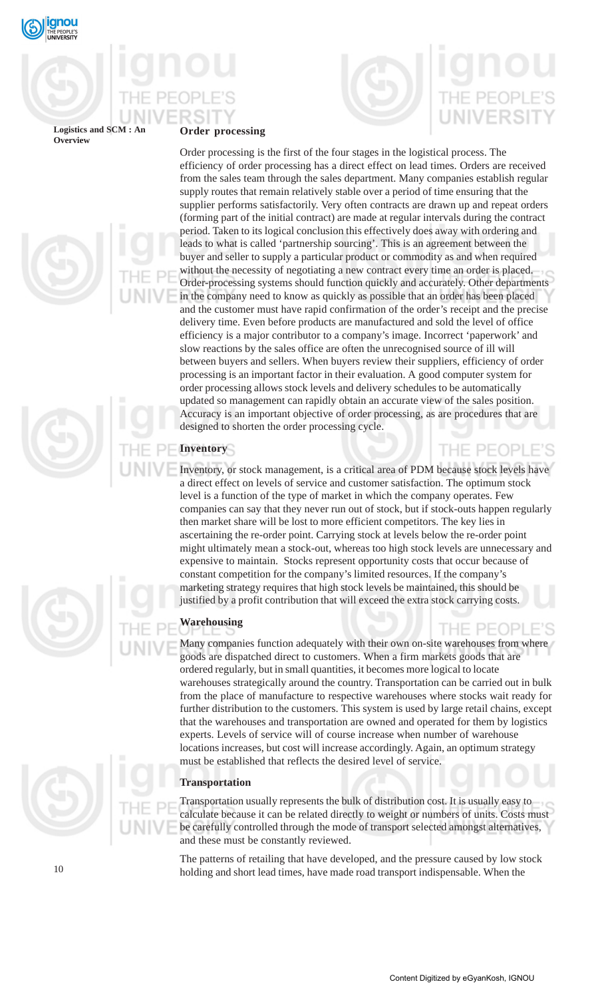











**Order processing**

Order processing is the first of the four stages in the logistical process. The efficiency of order processing has a direct effect on lead times. Orders are received from the sales team through the sales department. Many companies establish regular supply routes that remain relatively stable over a period of time ensuring that the supplier performs satisfactorily. Very often contracts are drawn up and repeat orders (forming part of the initial contract) are made at regular intervals during the contract period. Taken to its logical conclusion this effectively does away with ordering and leads to what is called 'partnership sourcing'. This is an agreement between the buyer and seller to supply a particular product or commodity as and when required without the necessity of negotiating a new contract every time an order is placed. Order-processing systems should function quickly and accurately. Other departments in the company need to know as quickly as possible that an order has been placed and the customer must have rapid confirmation of the order's receipt and the precise delivery time. Even before products are manufactured and sold the level of office efficiency is a major contributor to a company's image. Incorrect 'paperwork' and slow reactions by the sales office are often the unrecognised source of ill will between buyers and sellers. When buyers review their suppliers, efficiency of order processing is an important factor in their evaluation. A good computer system for order processing allows stock levels and delivery schedules to be automatically updated so management can rapidly obtain an accurate view of the sales position. Accuracy is an important objective of order processing, as are procedures that are designed to shorten the order processing cycle.

## **Inventory**

THE PEOPLE'S Inventory, or stock management, is a critical area of PDM because stock levels have a direct effect on levels of service and customer satisfaction. The optimum stock level is a function of the type of market in which the company operates. Few companies can say that they never run out of stock, but if stock-outs happen regularly then market share will be lost to more efficient competitors. The key lies in ascertaining the re-order point. Carrying stock at levels below the re-order point might ultimately mean a stock-out, whereas too high stock levels are unnecessary and expensive to maintain. Stocks represent opportunity costs that occur because of constant competition for the company's limited resources. If the company's marketing strategy requires that high stock levels be maintained, this should be

justified by a profit contribution that will exceed the extra stock carrying costs.

## **Warehousing**

Many companies function adequately with their own on-site warehouses from where goods are dispatched direct to customers. When a firm markets goods that are ordered regularly, but in small quantities, it becomes more logical to locate warehouses strategically around the country. Transportation can be carried out in bulk from the place of manufacture to respective warehouses where stocks wait ready for further distribution to the customers. This system is used by large retail chains, except that the warehouses and transportation are owned and operated for them by logistics experts. Levels of service will of course increase when number of warehouse locations increases, but cost will increase accordingly. Again, an optimum strategy must be established that reflects the desired level of service.

## **Transportation**

Transportation usually represents the bulk of distribution cost. It is usually easy to calculate because it can be related directly to weight or numbers of units. Costs must be carefully controlled through the mode of transport selected amongst alternatives, and these must be constantly reviewed.

The patterns of retailing that have developed, and the pressure caused by low stock holding and short lead times, have made road transport indispensable. When the

10

THE PEOPI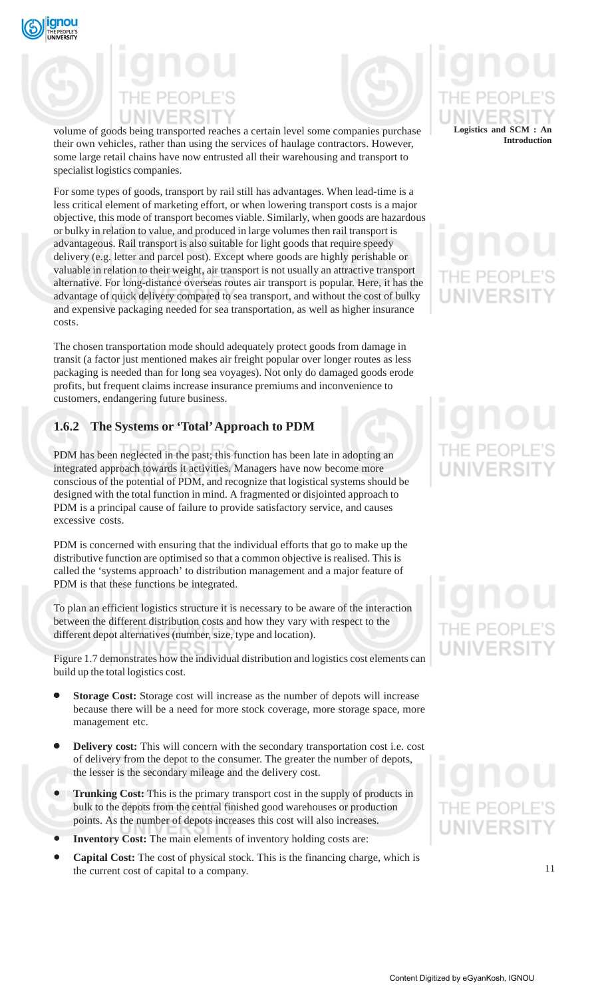



volume of goods being transported reaches a certain level some companies purchase their own vehicles, rather than using the services of haulage contractors. However, some large retail chains have now entrusted all their warehousing and transport to specialist logistics companies.

For some types of goods, transport by rail still has advantages. When lead-time is a less critical element of marketing effort, or when lowering transport costs is a major objective, this mode of transport becomes viable. Similarly, when goods are hazardous or bulky in relation to value, and produced in large volumes then rail transport is advantageous. Rail transport is also suitable for light goods that require speedy delivery (e.g. letter and parcel post). Except where goods are highly perishable or valuable in relation to their weight, air transport is not usually an attractive transport alternative. For long-distance overseas routes air transport is popular. Here, it has the advantage of quick delivery compared to sea transport, and without the cost of bulky and expensive packaging needed for sea transportation, as well as higher insurance costs.

The chosen transportation mode should adequately protect goods from damage in transit (a factor just mentioned makes air freight popular over longer routes as less packaging is needed than for long sea voyages). Not only do damaged goods erode profits, but frequent claims increase insurance premiums and inconvenience to customers, endangering future business.

## **1.6.2 The Systems or 'Total' Approach to PDM**

PDM has been neglected in the past; this function has been late in adopting an integrated approach towards it activities. Managers have now become more conscious of the potential of PDM, and recognize that logistical systems should be designed with the total function in mind. A fragmented or disjointed approach to PDM is a principal cause of failure to provide satisfactory service, and causes excessive costs.

PDM is concerned with ensuring that the individual efforts that go to make up the distributive function are optimised so that a common objective is realised. This is called the 'systems approach' to distribution management and a major feature of PDM is that these functions be integrated.

To plan an efficient logistics structure it is necessary to be aware of the interaction between the different distribution costs and how they vary with respect to the different depot alternatives (number, size, type and location).

Figure 1.7 demonstrates how the individual distribution and logistics cost elements can build up the total logistics cost.

- **Storage Cost:** Storage cost will increase as the number of depots will increase because there will be a need for more stock coverage, more storage space, more management etc.
- **Delivery cost:** This will concern with the secondary transportation cost i.e. cost of delivery from the depot to the consumer. The greater the number of depots, the lesser is the secondary mileage and the delivery cost.
- **Trunking Cost:** This is the primary transport cost in the supply of products in bulk to the depots from the central finished good warehouses or production points. As the number of depots increases this cost will also increases.
- **Inventory Cost:** The main elements of inventory holding costs are:
- **Capital Cost:** The cost of physical stock. This is the financing charge, which is the current cost of capital to a company.

## **Logistics and SCM : An Introduction**

# **UNIVERSIT**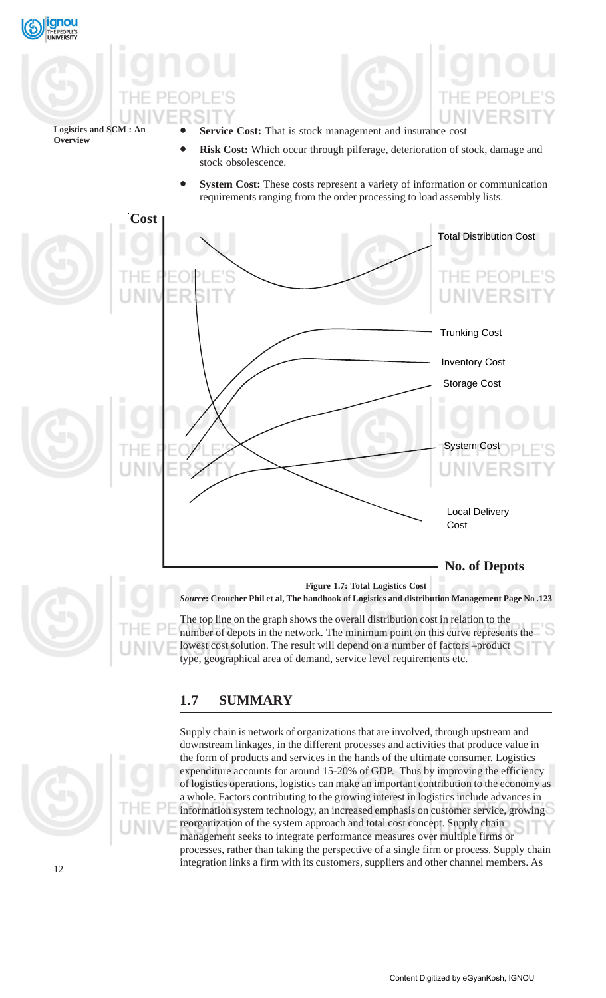



- Service Cost: That is stock management and insurance cost
- **Risk Cost:** Which occur through pilferage, deterioration of stock, damage and stock obsolescence.
- System Cost: These costs represent a variety of information or communication requirements ranging from the order processing to load assembly lists.



## **1.7 SUMMARY**



Supply chain is network of organizations that are involved, through upstream and downstream linkages, in the different processes and activities that produce value in the form of products and services in the hands of the ultimate consumer. Logistics expenditure accounts for around 15-20% of GDP. Thus by improving the efficiency of logistics operations, logistics can make an important contribution to the economy as a whole. Factors contributing to the growing interest in logistics include advances in information system technology, an increased emphasis on customer service, growing reorganization of the system approach and total cost concept. Supply chain management seeks to integrate performance measures over multiple firms or processes, rather than taking the perspective of a single firm or process. Supply chain integration links a firm with its customers, suppliers and other channel members. As